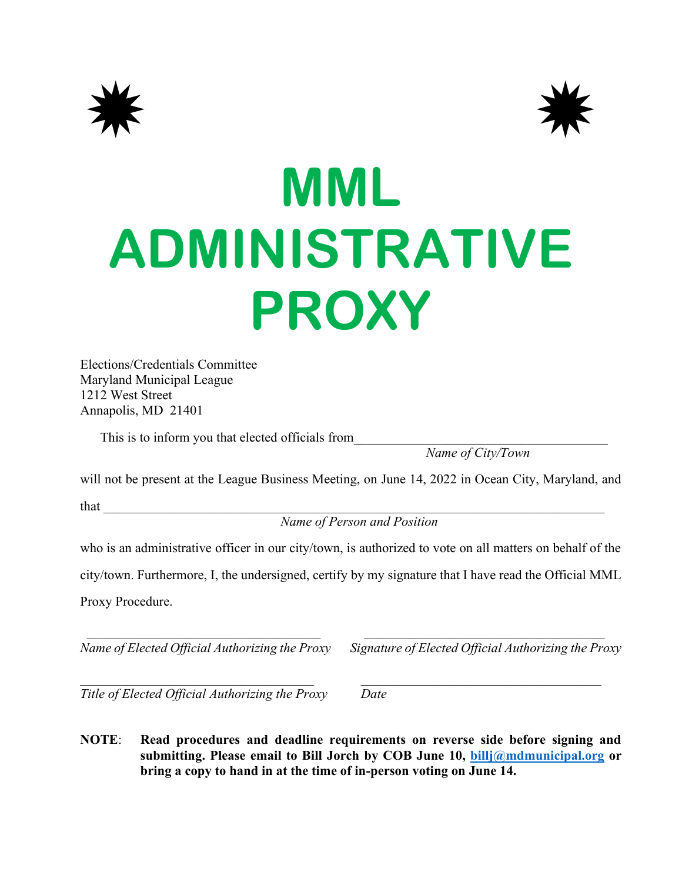



## **MML ADMINISTRATIVE PROXY**

Elections/Credentials Committee Maryland Municipal League 1212 West Street Annapolis, MD 21401

This is to inform you that elected officials from

*Name of City/Town*

will not be present at the League Business Meeting, on June 14, 2022 in Ocean City, Maryland, and

 $that$   $\Box$ 

*Name of Person and Position*

who is an administrative officer in our city/town, is authorized to vote on all matters on behalf of the

city/town. Furthermore, I, the undersigned, certify by my signature that I have read the Official MML Proxy Procedure.

*Name of Elected Official Authorizing the Proxy Signature of Elected Official Authorizing the Proxy*

*Title of Elected Official Authorizing the Proxy Date*

**NOTE**: **Read procedures and deadline requirements on reverse side before signing and submitting. Please email to Bill Jorch by COB June 10, [billj@mdmunicipal.org](mailto:billj@mdmunicipal.org) or bring a copy to hand in at the time of in-person voting on June 14.**